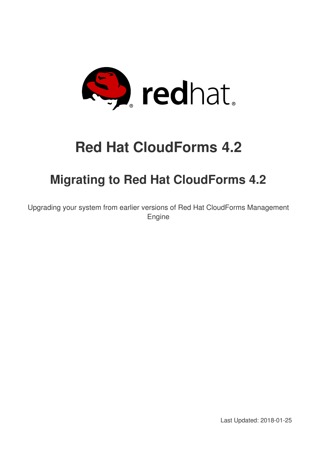

# **Red Hat CloudForms 4.2**

# **Migrating to Red Hat CloudForms 4.2**

Upgrading your system from earlier versions of Red Hat CloudForms Management **Engine**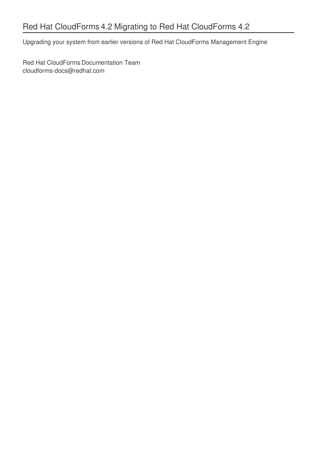Upgrading your system from earlier versions of Red Hat CloudForms Management Engine

Red Hat CloudForms Documentation Team cloudforms-docs@redhat.com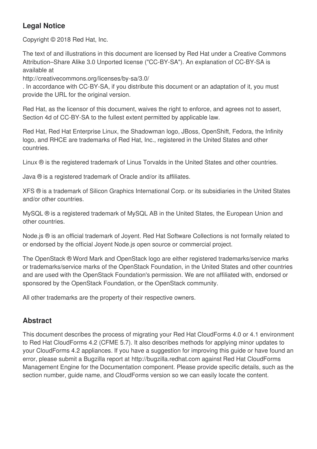# **Legal Notice**

Copyright © 2018 Red Hat, Inc.

The text of and illustrations in this document are licensed by Red Hat under a Creative Commons Attribution–Share Alike 3.0 Unported license ("CC-BY-SA"). An explanation of CC-BY-SA is available at

http://creativecommons.org/licenses/by-sa/3.0/

. In accordance with CC-BY-SA, if you distribute this document or an adaptation of it, you must provide the URL for the original version.

Red Hat, as the licensor of this document, waives the right to enforce, and agrees not to assert, Section 4d of CC-BY-SA to the fullest extent permitted by applicable law.

Red Hat, Red Hat Enterprise Linux, the Shadowman logo, JBoss, OpenShift, Fedora, the Infinity logo, and RHCE are trademarks of Red Hat, Inc., registered in the United States and other countries.

Linux ® is the registered trademark of Linus Torvalds in the United States and other countries.

Java ® is a registered trademark of Oracle and/or its affiliates.

XFS ® is a trademark of Silicon Graphics International Corp. or its subsidiaries in the United States and/or other countries.

MySQL ® is a registered trademark of MySQL AB in the United States, the European Union and other countries.

Node.js ® is an official trademark of Joyent. Red Hat Software Collections is not formally related to or endorsed by the official Joyent Node.js open source or commercial project.

The OpenStack ® Word Mark and OpenStack logo are either registered trademarks/service marks or trademarks/service marks of the OpenStack Foundation, in the United States and other countries and are used with the OpenStack Foundation's permission. We are not affiliated with, endorsed or sponsored by the OpenStack Foundation, or the OpenStack community.

All other trademarks are the property of their respective owners.

# **Abstract**

This document describes the process of migrating your Red Hat CloudForms 4.0 or 4.1 environment to Red Hat CloudForms 4.2 (CFME 5.7). It also describes methods for applying minor updates to your CloudForms 4.2 appliances. If you have a suggestion for improving this guide or have found an error, please submit a Bugzilla report at http://bugzilla.redhat.com against Red Hat CloudForms Management Engine for the Documentation component. Please provide specific details, such as the section number, guide name, and CloudForms version so we can easily locate the content.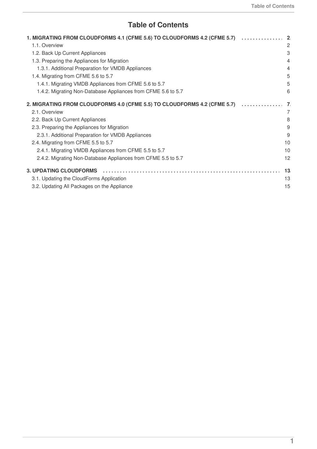# **Table of Contents**

| 1. MIGRATING FROM CLOUDFORMS 4.1 (CFME 5.6) TO CLOUDFORMS 4.2 (CFME 5.7)  2 |  |
|-----------------------------------------------------------------------------|--|
| 1.1. Overview                                                               |  |
| 1.2. Back Up Current Appliances                                             |  |
| 1.3. Preparing the Appliances for Migration                                 |  |
| 1.3.1. Additional Preparation for VMDB Appliances                           |  |
| 1.4. Migrating from CFME 5.6 to 5.7                                         |  |
| 1.4.1. Migrating VMDB Appliances from CFME 5.6 to 5.7                       |  |
| 1.4.2. Migrating Non-Database Appliances from CFME 5.6 to 5.7               |  |
|                                                                             |  |
| 2.1. Overview                                                               |  |
| 2.2. Back Up Current Appliances                                             |  |
| 2.3. Preparing the Appliances for Migration                                 |  |
| 2.3.1. Additional Preparation for VMDB Appliances                           |  |
| 2.4. Migrating from CFME 5.5 to 5.7                                         |  |
| 2.4.1. Migrating VMDB Appliances from CFME 5.5 to 5.7                       |  |
| 2.4.2. Migrating Non-Database Appliances from CFME 5.5 to 5.7               |  |
| <b>3. UPDATING CLOUDFORMS</b>                                               |  |
| 3.1. Updating the CloudForms Application                                    |  |
| 3.2. Updating All Packages on the Appliance                                 |  |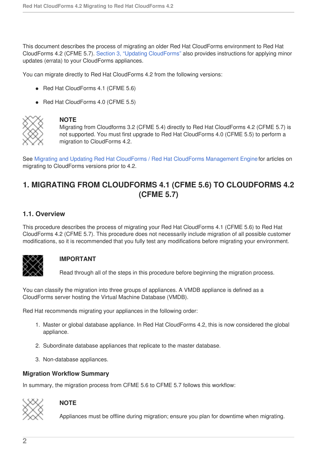This document describes the process of migrating an older Red Hat CloudForms environment to Red Hat CloudForms 4.2 (CFME 5.7). Section 3, "Updating [CloudForms"](#page-18-1) also provides instructions for applying minor updates (errata) to your CloudForms appliances.

You can migrate directly to Red Hat CloudForms 4.2 from the following versions:

- Red Hat CloudForms 4.1 (CFME 5.6)
- Red Hat CloudForms 4.0 (CFME 5.5)



#### **NOTE**

Migrating from Cloudforms 3.2 (CFME 5.4) directly to Red Hat CloudForms 4.2 (CFME 5.7) is not supported. You must first upgrade to Red Hat CloudForms 4.0 (CFME 5.5) to perform a migration to CloudForms 4.2.

See Migrating and Updating Red Hat CloudForms / Red Hat CloudForms [Management](https://access.redhat.com/articles/1504403) Engine for articles on migrating to CloudForms versions prior to 4.2.

# <span id="page-5-0"></span>**1. MIGRATING FROM CLOUDFORMS 4.1 (CFME 5.6) TO CLOUDFORMS 4.2 (CFME 5.7)**

#### <span id="page-5-1"></span>**1.1. Overview**

This procedure describes the process of migrating your Red Hat CloudForms 4.1 (CFME 5.6) to Red Hat CloudForms 4.2 (CFME 5.7). This procedure does not necessarily include migration of all possible customer modifications, so it is recommended that you fully test any modifications before migrating your environment.



#### **IMPORTANT**

Read through all of the steps in this procedure before beginning the migration process.

You can classify the migration into three groups of appliances. A VMDB appliance is defined as a CloudForms server hosting the Virtual Machine Database (VMDB).

Red Hat recommends migrating your appliances in the following order:

- 1. Master or global database appliance. In Red Hat CloudForms 4.2, this is now considered the global appliance.
- 2. Subordinate database appliances that replicate to the master database.
- 3. Non-database appliances.

#### **Migration Workflow Summary**

In summary, the migration process from CFME 5.6 to CFME 5.7 follows this workflow:



#### **NOTE**

Appliances must be offline during migration; ensure you plan for downtime when migrating.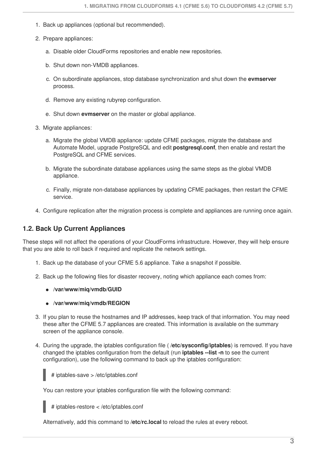- 1. Back up appliances (optional but recommended).
- 2. Prepare appliances:
	- a. Disable older CloudForms repositories and enable new repositories.
	- b. Shut down non-VMDB appliances.
	- c. On subordinate appliances, stop database synchronization and shut down the **evmserver** process.
	- d. Remove any existing rubyrep configuration.
	- e. Shut down **evmserver** on the master or global appliance.
- 3. Migrate appliances:
	- a. Migrate the global VMDB appliance: update CFME packages, migrate the database and Automate Model, upgrade PostgreSQL and edit **postgresql.conf**, then enable and restart the PostgreSQL and CFME services.
	- b. Migrate the subordinate database appliances using the same steps as the global VMDB appliance.
	- c. Finally, migrate non-database appliances by updating CFME packages, then restart the CFME service.
- 4. Configure replication after the migration process is complete and appliances are running once again.

#### <span id="page-6-0"></span>**1.2. Back Up Current Appliances**

These steps will not affect the operations of your CloudForms infrastructure. However, they will help ensure that you are able to roll back if required and replicate the network settings.

- 1. Back up the database of your CFME 5.6 appliance. Take a snapshot if possible.
- 2. Back up the following files for disaster recovery, noting which appliance each comes from:
	- **/var/www/miq/vmdb/GUID**
	- **/var/www/miq/vmdb/REGION**
- 3. If you plan to reuse the hostnames and IP addresses, keep track of that information. You may need these after the CFME 5.7 appliances are created. This information is available on the summary screen of the appliance console.
- 4. During the upgrade, the iptables configuration file ( **/etc/sysconfig/iptables**) is removed. If you have changed the iptables configuration from the default (run **iptables --list -n** to see the current configuration), use the following command to back up the iptables configuration:

# iptables-save > /etc/iptables.conf

You can restore your iptables configuration file with the following command:

# iptables-restore < /etc/iptables.conf

Alternatively, add this command to **/etc/rc.local** to reload the rules at every reboot.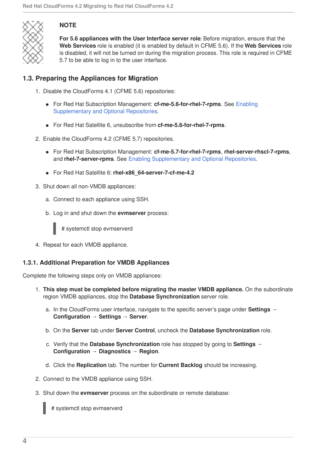

#### **NOTE**

**For 5.6 appliances with the User Interface server role**: Before migration, ensure that the **Web Services** role is enabled (it is enabled by default in CFME 5.6). If the **Web Services** role is disabled, it will not be turned on during the migration process. This role is required in CFME 5.7 to be able to log in to the user interface.

#### <span id="page-7-0"></span>**1.3. Preparing the Appliances for Migration**

- 1. Disable the CloudForms 4.1 (CFME 5.6) repositories:
	- For Red Hat Subscription Management: **[cf-me-5.6-for-rhel-7-rpms](https://access.redhat.com/documentation/en-US/Red_Hat_Subscription_Management/1/html/RHSM/supplementary-repos.html)**. See Enabling Supplementary and Optional Repositories.
	- For Red Hat Satellite 6, unsubscribe from **cf-me-5.6-for-rhel-7-rpms**.
- 2. Enable the CloudForms 4.2 (CFME 5.7) repositories.
	- For Red Hat Subscription Management: **cf-me-5.7-for-rhel-7-rpms**, **rhel-server-rhscl-7-rpms**, and **rhel-7-server-rpms**. See Enabling [Supplementary](https://access.redhat.com/documentation/en-US/Red_Hat_Subscription_Management/1/html/RHSM/supplementary-repos.html) and Optional Repositories.
	- For Red Hat Satellite 6: **rhel-x86\_64-server-7-cf-me-4.2**
- 3. Shut down all non-VMDB appliances:
	- a. Connect to each appliance using SSH.
	- b. Log in and shut down the **evmserver** process:



4. Repeat for each VMDB appliance.

#### <span id="page-7-1"></span>**1.3.1. Additional Preparation for VMDB Appliances**

Complete the following steps only on VMDB appliances:

- 1. **This step must be completed before migrating the master VMDB appliance.** On the subordinate region VMDB appliances, stop the **Database Synchronization** server role.
	- a. In the CloudForms user interface, navigate to the specific server's page under **Settings** → **Configuration** → **Settings** → **Server**.
	- b. On the **Server** tab under **Server Control**, uncheck the **Database Synchronization** role.
	- c. Verify that the **Database Synchronization** role has stopped by going to **Settings** → **Configuration** → **Diagnostics** → **Region**.
	- d. Click the **Replication** tab. The number for **Current Backlog** should be increasing.
- 2. Connect to the VMDB appliance using SSH.
- 3. Shut down the **evmserver** process on the subordinate or remote database:

systemctl stop evmserverd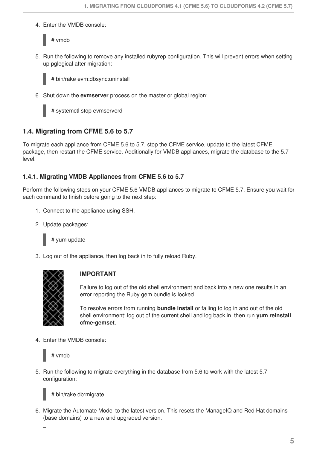<span id="page-8-2"></span>4. Enter the VMDB console:

# vmdb

5. Run the following to remove any installed rubyrep configuration. This will prevent errors when setting up pglogical after migration:

# bin/rake evm:dbsync:uninstall

6. Shut down the **evmserver** process on the master or global region:

# systemctl stop evmserverd

#### <span id="page-8-0"></span>**1.4. Migrating from CFME 5.6 to 5.7**

To migrate each appliance from CFME 5.6 to 5.7, stop the CFME service, update to the latest CFME package, then restart the CFME service. Additionally for VMDB appliances, migrate the database to the 5.7 level.

#### <span id="page-8-1"></span>**1.4.1. Migrating VMDB Appliances from CFME 5.6 to 5.7**

Perform the following steps on your CFME 5.6 VMDB appliances to migrate to CFME 5.7. Ensure you wait for each command to finish before going to the next step:

- 1. Connect to the appliance using SSH.
- 2. Update packages:

# yum update

3. Log out of the appliance, then log back in to fully reload Ruby.



#### **IMPORTANT**

Failure to log out of the old shell environment and back into a new one results in an error reporting the Ruby gem bundle is locked.

To resolve errors from running **bundle install** or failing to log in and out of the old shell environment: log out of the current shell and log back in, then run **yum reinstall cfme-gemset**.

4. Enter the VMDB console:



5. Run the following to migrate everything in the database from 5.6 to work with the latest 5.7 configuration:

# bin/rake db:migrate

6. Migrate the Automate Model to the latest version. This resets the ManageIQ and Red Hat domains (base domains) to a new and upgraded version.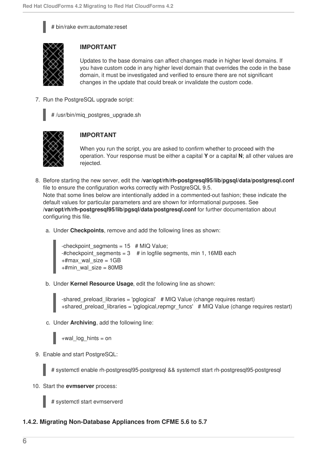# bin/rake evm:automate:reset



#### **IMPORTANT**

Updates to the base domains can affect changes made in higher level domains. If you have custom code in any higher level domain that overrides the code in the base domain, it must be investigated and verified to ensure there are not significant changes in the update that could break or invalidate the custom code.

7. Run the PostgreSQL upgrade script:

# /usr/bin/miq\_postgres\_upgrade.sh



#### **IMPORTANT**

When you run the script, you are asked to confirm whether to proceed with the operation. Your response must be either a capital **Y** or a capital **N**; all other values are rejected.

- 8. Before starting the new server, edit the **/var/opt/rh/rh-postgresql95/lib/pgsql/data/postgresql.conf** file to ensure the configuration works correctly with PostgreSQL 9.5. Note that some lines below are intentionally added in a commented-out fashion; these indicate the default values for particular parameters and are shown for informational purposes. See **/var/opt/rh/rh-postgresql95/lib/pgsql/data/postgresql.conf** for further documentation about configuring this file.
	- a. Under **Checkpoints**, remove and add the following lines as shown:

```
-checkpoint_segments = 15 # MIQ Value;
-#checkpoint_segments = 3 # in logfile segments, min 1, 16MB each
+#max wal size = 1GB
+#min_wal_size = 80MB
```
b. Under **Kernel Resource Usage**, edit the following line as shown:

-shared preload libraries = 'pglogical' # MIQ Value (change requires restart) +shared preload libraries = 'pglogical,repmgr\_funcs' # MIQ Value (change requires restart)

c. Under **Archiving**, add the following line:

+wal\_log\_hints = on

9. Enable and start PostgreSQL:

# systemctl enable rh-postgresql95-postgresql && systemctl start rh-postgresql95-postgresql

10. Start the **evmserver** process:

# systemctl start evmserverd

#### <span id="page-9-0"></span>**1.4.2. Migrating Non-Database Appliances from CFME 5.6 to 5.7**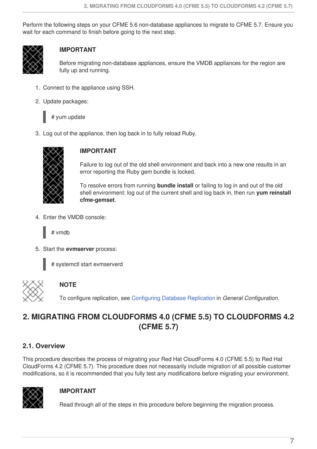Perform the following steps on your CFME 5.6 non-database appliances to migrate to CFME 5.7. Ensure you wait for each command to finish before going to the next step.



#### **IMPORTANT**

Before migrating non-database appliances, ensure the VMDB appliances for the region are fully up and running.

- 1. Connect to the appliance using SSH.
- 2. Update packages:

# yum update

3. Log out of the appliance, then log back in to fully reload Ruby.



#### **IMPORTANT**

Failure to log out of the old shell environment and back into a new one results in an error reporting the Ruby gem bundle is locked.

To resolve errors from running **bundle install** or failing to log in and out of the old shell environment: log out of the current shell and log back in, then run **yum reinstall cfme-gemset**.

4. Enter the VMDB console:

vmdb

5. Start the **evmserver** process:





#### **NOTE**

To configure replication, see [Configuring](https://access.redhat.com/documentation/en/red-hat-cloudforms/4.2-beta/single/general-configuration/#configuring_database_replication) Database Replication in *General Configuration*.

# <span id="page-10-0"></span>**2. MIGRATING FROM CLOUDFORMS 4.0 (CFME 5.5) TO CLOUDFORMS 4.2 (CFME 5.7)**

#### <span id="page-10-1"></span>**2.1. Overview**

This procedure describes the process of migrating your Red Hat CloudForms 4.0 (CFME 5.5) to Red Hat CloudForms 4.2 (CFME 5.7). This procedure does not necessarily include migration of all possible customer modifications, so it is recommended that you fully test any modifications before migrating your environment.



#### **IMPORTANT**

Read through all of the steps in this procedure before beginning the migration process.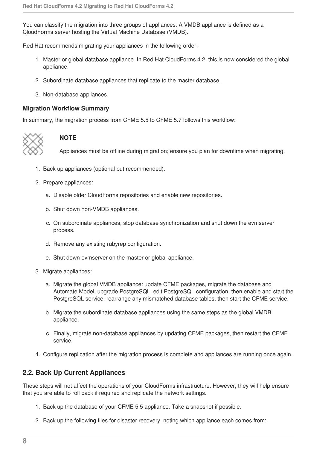You can classify the migration into three groups of appliances. A VMDB appliance is defined as a CloudForms server hosting the Virtual Machine Database (VMDB).

Red Hat recommends migrating your appliances in the following order:

- 1. Master or global database appliance. In Red Hat CloudForms 4.2, this is now considered the global appliance.
- 2. Subordinate database appliances that replicate to the master database.
- 3. Non-database appliances.

#### **Migration Workflow Summary**

In summary, the migration process from CFME 5.5 to CFME 5.7 follows this workflow:



#### **NOTE**

Appliances must be offline during migration; ensure you plan for downtime when migrating.

- 1. Back up appliances (optional but recommended).
- 2. Prepare appliances:
	- a. Disable older CloudForms repositories and enable new repositories.
	- b. Shut down non-VMDB appliances.
	- c. On subordinate appliances, stop database synchronization and shut down the evmserver process.
	- d. Remove any existing rubyrep configuration.
	- e. Shut down evmserver on the master or global appliance.
- 3. Migrate appliances:
	- a. Migrate the global VMDB appliance: update CFME packages, migrate the database and Automate Model, upgrade PostgreSQL, edit PostgreSQL configuration, then enable and start the PostgreSQL service, rearrange any mismatched database tables, then start the CFME service.
	- b. Migrate the subordinate database appliances using the same steps as the global VMDB appliance.
	- c. Finally, migrate non-database appliances by updating CFME packages, then restart the CFME service.
- 4. Configure replication after the migration process is complete and appliances are running once again.

#### <span id="page-11-0"></span>**2.2. Back Up Current Appliances**

These steps will not affect the operations of your CloudForms infrastructure. However, they will help ensure that you are able to roll back if required and replicate the network settings.

- 1. Back up the database of your CFME 5.5 appliance. Take a snapshot if possible.
- 2. Back up the following files for disaster recovery, noting which appliance each comes from: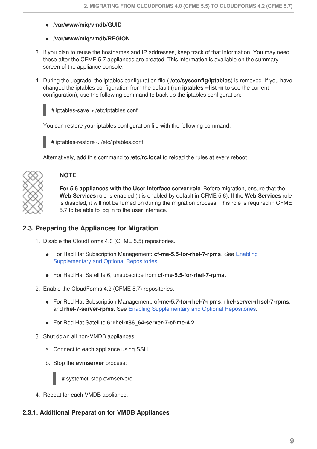#### **/var/www/miq/vmdb/GUID**

#### **/var/www/miq/vmdb/REGION**

- 3. If you plan to reuse the hostnames and IP addresses, keep track of that information. You may need these after the CFME 5.7 appliances are created. This information is available on the summary screen of the appliance console.
- 4. During the upgrade, the iptables configuration file ( **/etc/sysconfig/iptables**) is removed. If you have changed the iptables configuration from the default (run **iptables --list -n** to see the current configuration), use the following command to back up the iptables configuration:



You can restore your iptables configuration file with the following command:

# iptables-restore < /etc/iptables.conf

Alternatively, add this command to **/etc/rc.local** to reload the rules at every reboot.



#### **NOTE**

**For 5.6 appliances with the User Interface server role**: Before migration, ensure that the **Web Services** role is enabled (it is enabled by default in CFME 5.6). If the **Web Services** role is disabled, it will not be turned on during the migration process. This role is required in CFME 5.7 to be able to log in to the user interface.

#### <span id="page-12-0"></span>**2.3. Preparing the Appliances for Migration**

- 1. Disable the CloudForms 4.0 (CFME 5.5) repositories.
	- For Red Hat Subscription Management: **[cf-me-5.5-for-rhel-7-rpms](https://access.redhat.com/documentation/en-US/Red_Hat_Subscription_Management/1/html/RHSM/supplementary-repos.html)**. See Enabling Supplementary and Optional Repositories.
	- For Red Hat Satellite 6, unsubscribe from **cf-me-5.5-for-rhel-7-rpms**.
- 2. Enable the CloudForms 4.2 (CFME 5.7) repositories.
	- For Red Hat Subscription Management: **cf-me-5.7-for-rhel-7-rpms**, **rhel-server-rhscl-7-rpms**, and **rhel-7-server-rpms**. See Enabling [Supplementary](https://access.redhat.com/documentation/en-US/Red_Hat_Subscription_Management/1/html/RHSM/supplementary-repos.html) and Optional Repositories.
	- For Red Hat Satellite 6: **rhel-x86\_64-server-7-cf-me-4.2**
- 3. Shut down all non-VMDB appliances:
	- a. Connect to each appliance using SSH.
	- b. Stop the **evmserver** process:



# systemctl stop evmserverd

4. Repeat for each VMDB appliance.

#### <span id="page-12-1"></span>**2.3.1. Additional Preparation for VMDB Appliances**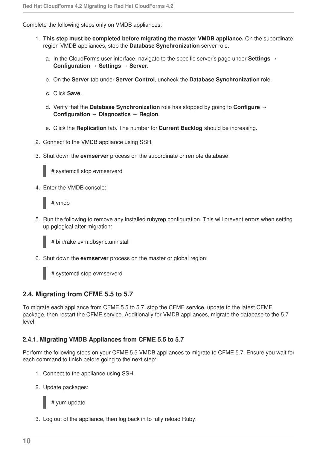<span id="page-13-2"></span>Complete the following steps only on VMDB appliances:

- 1. **This step must be completed before migrating the master VMDB appliance.** On the subordinate region VMDB appliances, stop the **Database Synchronization** server role.
	- a. In the CloudForms user interface, navigate to the specific server's page under **Settings** → **Configuration** → **Settings** → **Server**.
	- b. On the **Server** tab under **Server Control**, uncheck the **Database Synchronization** role.
	- c. Click **Save**.
	- d. Verify that the **Database Synchronization** role has stopped by going to **Configure** → **Configuration** → **Diagnostics** → **Region**.
	- e. Click the **Replication** tab. The number for **Current Backlog** should be increasing.
- 2. Connect to the VMDB appliance using SSH.
- 3. Shut down the **evmserver** process on the subordinate or remote database:

# systemctl stop evmserverd

4. Enter the VMDB console:

# vmdb

5. Run the following to remove any installed rubyrep configuration. This will prevent errors when setting up pglogical after migration:

# bin/rake evm:dbsync:uninstall

6. Shut down the **evmserver** process on the master or global region:

# systemctl stop evmserverd

#### <span id="page-13-0"></span>**2.4. Migrating from CFME 5.5 to 5.7**

To migrate each appliance from CFME 5.5 to 5.7, stop the CFME service, update to the latest CFME package, then restart the CFME service. Additionally for VMDB appliances, migrate the database to the 5.7 level.

#### <span id="page-13-1"></span>**2.4.1. Migrating VMDB Appliances from CFME 5.5 to 5.7**

Perform the following steps on your CFME 5.5 VMDB appliances to migrate to CFME 5.7. Ensure you wait for each command to finish before going to the next step:

- 1. Connect to the appliance using SSH.
- 2. Update packages:

# yum update

3. Log out of the appliance, then log back in to fully reload Ruby.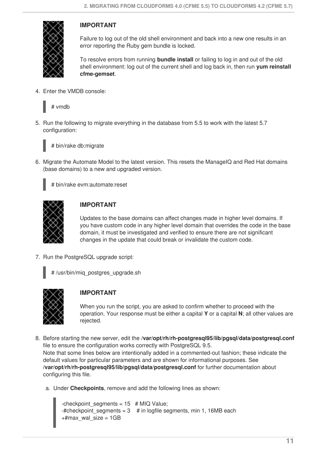

Failure to log out of the old shell environment and back into a new one results in an error reporting the Ruby gem bundle is locked.

To resolve errors from running **bundle install** or failing to log in and out of the old shell environment: log out of the current shell and log back in, then run **yum reinstall cfme-gemset**.

4. Enter the VMDB console:

# vmdb

5. Run the following to migrate everything in the database from 5.5 to work with the latest 5.7 configuration:

# bin/rake db:migrate

6. Migrate the Automate Model to the latest version. This resets the ManageIQ and Red Hat domains (base domains) to a new and upgraded version.

# bin/rake evm:automate:reset



### **IMPORTANT**

Updates to the base domains can affect changes made in higher level domains. If you have custom code in any higher level domain that overrides the code in the base domain, it must be investigated and verified to ensure there are not significant changes in the update that could break or invalidate the custom code.

7. Run the PostgreSQL upgrade script:

# /usr/bin/miq\_postgres\_upgrade.sh



#### **IMPORTANT**

When you run the script, you are asked to confirm whether to proceed with the operation. Your response must be either a capital **Y** or a capital **N**; all other values are rejected.

- 8. Before starting the new server, edit the **/var/opt/rh/rh-postgresql95/lib/pgsql/data/postgresql.conf** file to ensure the configuration works correctly with PostgreSQL 9.5. Note that some lines below are intentionally added in a commented-out fashion; these indicate the default values for particular parameters and are shown for informational purposes. See **/var/opt/rh/rh-postgresql95/lib/pgsql/data/postgresql.conf** for further documentation about configuring this file.
	- a. Under **Checkpoints**, remove and add the following lines as shown:

-checkpoint segments =  $15$  # MIQ Value; -#checkpoint segments =  $3$  # in logfile segments, min 1, 16MB each  $+$ #max wal size = 1GB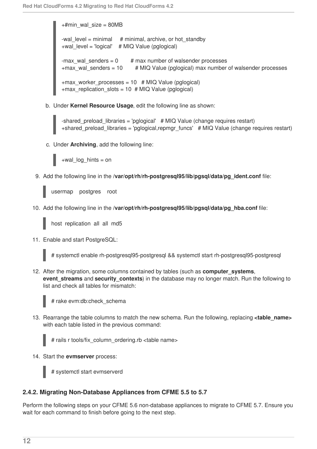$+$ #min wal size = 80MB -wal level = minimal  $#$  minimal, archive, or hot standby +wal\_level = 'logical' # MIQ Value (pglogical)  $-max_w$  wal\_senders =  $0$  # max number of walsender processes +max\_wal\_senders = 10 # MIQ Value (pglogical) max number of walsender processes +max worker processes = 10  $#$  MIQ Value (pglogical) +max replication slots = 10 # MIQ Value (pglogical)

b. Under **Kernel Resource Usage**, edit the following line as shown:

-shared\_preload\_libraries = 'pglogical' # MIQ Value (change requires restart) +shared preload\_libraries = 'pglogical,repmgr\_funcs' # MIQ Value (change requires restart)

c. Under **Archiving**, add the following line:

 $+$ wal log hints = on

9. Add the following line in the **/var/opt/rh/rh-postgresql95/lib/pgsql/data/pg\_ident.conf** file:

usermap postgres root

10. Add the following line in the **/var/opt/rh/rh-postgresql95/lib/pgsql/data/pg\_hba.conf** file:

host replication all all md5

11. Enable and start PostgreSQL:

# systemctl enable rh-postgresql95-postgresql && systemctl start rh-postgresql95-postgresql

12. After the migration, some columns contained by tables (such as **computer\_systems**, **event streams** and **security contexts**) in the database may no longer match. Run the following to list and check all tables for mismatch:

# rake evm:db:check\_schema

13. Rearrange the table columns to match the new schema. Run the following, replacing **<table\_name>** with each table listed in the previous command:

# rails r tools/fix\_column\_ordering.rb <table name>

14. Start the **evmserver** process:

# systemctl start evmserverd

#### <span id="page-15-0"></span>**2.4.2. Migrating Non-Database Appliances from CFME 5.5 to 5.7**

Perform the following steps on your CFME 5.6 non-database appliances to migrate to CFME 5.7. Ensure you wait for each command to finish before going to the next step.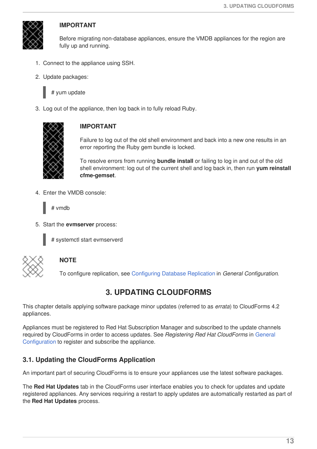

Before migrating non-database appliances, ensure the VMDB appliances for the region are fully up and running.

- 1. Connect to the appliance using SSH.
- 2. Update packages:

# yum update

3. Log out of the appliance, then log back in to fully reload Ruby.



#### **IMPORTANT**

Failure to log out of the old shell environment and back into a new one results in an error reporting the Ruby gem bundle is locked.

To resolve errors from running **bundle install** or failing to log in and out of the old shell environment: log out of the current shell and log back in, then run **yum reinstall cfme-gemset**.

4. Enter the VMDB console:

vmdb

5. Start the **evmserver** process:





#### **NOTE**

To configure replication, see [Configuring](https://access.redhat.com/documentation/en/red-hat-cloudforms/4.2-beta/single/general-configuration/#configuring_database_replication) Database Replication in *General Configuration*.

# **3. UPDATING CLOUDFORMS**

<span id="page-16-0"></span>This chapter details applying software package minor updates (referred to as *errata*) to CloudForms 4.2 appliances.

Appliances must be registered to Red Hat Subscription Manager and subscribed to the update channels required by CloudForms in order to access updates. See *Registering Red Hat CloudForms* in General [Configuration](https://access.redhat.com/documentation/en-us/red_hat_cloudforms/4.2/html-single/general_configuration/#regions) to register and subscribe the appliance.

## <span id="page-16-1"></span>**3.1. Updating the CloudForms Application**

An important part of securing CloudForms is to ensure your appliances use the latest software packages.

The **Red Hat Updates** tab in the CloudForms user interface enables you to check for updates and update registered appliances. Any services requiring a restart to apply updates are automatically restarted as part of the **Red Hat Updates** process.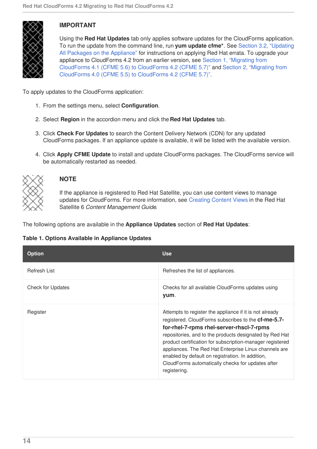

Using the **Red Hat Updates** tab only applies software updates for the CloudForms application. To run the update from the command line, run **yum update cfme\***. See Section 3.2, "Updating All Packages on the Appliance" for [instructions](#page-18-0) on applying Red Hat errata. To upgrade your appliance to CloudForms 4.2 from an earlier version, see Section 1, "Migrating from CloudForms 4.1 (CFME 5.6) to [CloudForms](#page-8-2) 4.2 (CFME 5.7)" and Section 2, "Migrating from CloudForms 4.0 (CFME 5.5) to CloudForms 4.2 (CFME 5.7)".

To apply updates to the CloudForms application:

- 1. From the settings menu, select **Configuration**.
- 2. Select **Region** in the accordion menu and click the **Red Hat Updates** tab.
- 3. Click **Check For Updates** to search the Content Delivery Network (CDN) for any updated CloudForms packages. If an appliance update is available, it will be listed with the available version.
- 4. Click **Apply CFME Update** to install and update CloudForms packages. The CloudForms service will be automatically restarted as needed.



#### **NOTE**

If the appliance is registered to Red Hat Satellite, you can use content views to manage updates for CloudForms. For more information, see [Creating](https://access.redhat.com/documentation/en/red-hat-satellite/6.2/single/content-management-guide#Creating_Content_Views) Content Views in the Red Hat Satellite 6 *Content Management Guide*.

The following options are available in the **Appliance Updates** section of **Red Hat Updates**:

| <b>Option</b>            | <b>Use</b>                                                                                                                                                                                                                                                                                                                                                                                                                                                           |
|--------------------------|----------------------------------------------------------------------------------------------------------------------------------------------------------------------------------------------------------------------------------------------------------------------------------------------------------------------------------------------------------------------------------------------------------------------------------------------------------------------|
| Refresh List             | Refreshes the list of appliances.                                                                                                                                                                                                                                                                                                                                                                                                                                    |
| <b>Check for Updates</b> | Checks for all available CloudForms updates using<br>yum.                                                                                                                                                                                                                                                                                                                                                                                                            |
| Register                 | Attempts to register the appliance if it is not already<br>registered. CloudForms subscribes to the cf-me-5.7-<br>for-rhel-7-rpms rhel-server-rhscl-7-rpms<br>repositories, and to the products designated by Red Hat<br>product certification for subscription-manager registered<br>appliances. The Red Hat Enterprise Linux channels are<br>enabled by default on registration. In addition,<br>CloudForms automatically checks for updates after<br>registering. |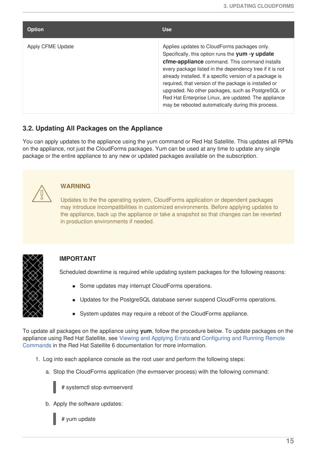<span id="page-18-1"></span>

| <b>Option</b>     | <b>Use</b>                                                                                                                                                                                                                                                                                                                                                                                                                                                                                             |
|-------------------|--------------------------------------------------------------------------------------------------------------------------------------------------------------------------------------------------------------------------------------------------------------------------------------------------------------------------------------------------------------------------------------------------------------------------------------------------------------------------------------------------------|
| Apply CFME Update | Applies updates to CloudForms packages only.<br>Specifically, this option runs the yum -y update<br>cfme-appliance command. This command installs<br>every package listed in the dependency tree if it is not<br>already installed. If a specific version of a package is<br>required, that version of the package is installed or<br>upgraded. No other packages, such as PostgreSQL or<br>Red Hat Enterprise Linux, are updated. The appliance<br>may be rebooted automatically during this process. |

#### <span id="page-18-0"></span>**3.2. Updating All Packages on the Appliance**

You can apply updates to the appliance using the yum command or Red Hat Satellite. This updates all RPMs on the appliance, not just the CloudForms packages. Yum can be used at any time to update any single package or the entire appliance to any new or updated packages available on the subscription.



#### **WARNING**

Updates to the the operating system, CloudForms application or dependent packages may introduce incompatibilities in customized environments. Before applying updates to the appliance, back up the appliance or take a snapshot so that changes can be reverted in production environments if needed.



## **IMPORTANT**

Scheduled downtime is required while updating system packages for the following reasons:

- Some updates may interrupt CloudForms operations.
- Updates for the PostgreSQL database server suspend CloudForms operations.
- System updates may require a reboot of the CloudForms appliance.

To update all packages on the appliance using **yum**, follow the procedure below. To update packages on the appliance using Red Hat Satellite, see Viewing and [Applying](https://access.redhat.com/documentation/en-us/red_hat_satellite/6.2/html/host_configuration_guide/chap-red_hat_satellite-host_configuration_guide-viewing_and_applying_errata) Errata and Configuring and Running Remote Commands in the Red Hat Satellite 6 [documentation](https://access.redhat.com/documentation/en-us/red_hat_satellite/6.2/html/host_configuration_guide/sect-host_configuration_guide-configuring_and_running_remote_commands) for more information.

- 1. Log into each appliance console as the root user and perform the following steps:
	- a. Stop the CloudForms application (the evmserver process) with the following command:



# systemctl stop evmserverd

b. Apply the software updates: